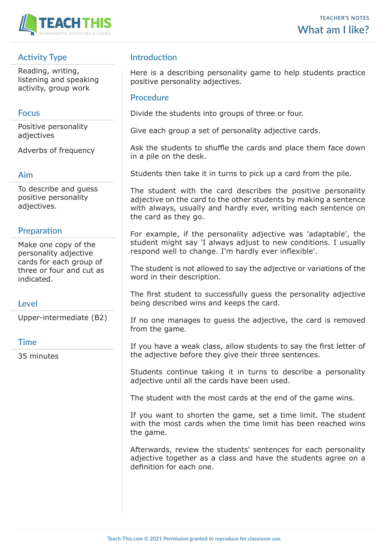

# **Activity Type**

Reading, writing, listening and speaking activity, group work

#### **Focus**

Positive personality adjectives

Adverbs of frequency

#### **Aim**

To describe and guess positive personality adjectives.

## **Preparation**

Make one copy of the personality adjective cards for each group of three or four and cut as indicated.

## **Level**

Upper-intermediate (B2)

#### **Time**

35 minutes

## **Introduction**

Here is a describing personality game to help students practice positive personality adjectives.

#### **Procedure**

Divide the students into groups of three or four.

Give each group a set of personality adjective cards.

Ask the students to shuffle the cards and place them face down in a pile on the desk.

Students then take it in turns to pick up a card from the pile.

The student with the card describes the positive personality adjective on the card to the other students by making a sentence with always, usually and hardly ever, writing each sentence on the card as they go.

For example, if the personality adjective was 'adaptable', the student might say 'I always adjust to new conditions. I usually respond well to change. I'm hardly ever inflexible'.

The student is not allowed to say the adjective or variations of the word in their description.

The first student to successfully guess the personality adjective being described wins and keeps the card.

If no one manages to guess the adjective, the card is removed from the game.

If you have a weak class, allow students to say the first letter of the adjective before they give their three sentences.

Students continue taking it in turns to describe a personality adjective until all the cards have been used.

The student with the most cards at the end of the game wins.

If you want to shorten the game, set a time limit. The student with the most cards when the time limit has been reached wins the game.

Afterwards, review the students' sentences for each personality adjective together as a class and have the students agree on a definition for each one.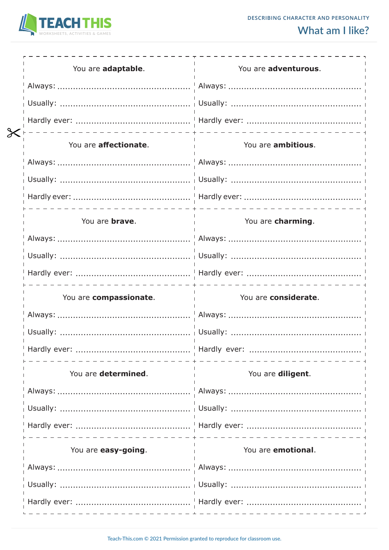

| You are adaptable.     | You are adventurous. |
|------------------------|----------------------|
|                        |                      |
|                        |                      |
|                        |                      |
| You are affectionate.  | You are ambitious.   |
|                        |                      |
|                        |                      |
|                        |                      |
| You are <b>brave</b> . | You are charming.    |
|                        |                      |
|                        |                      |
|                        |                      |
|                        |                      |
| You are compassionate. | You are considerate. |
|                        |                      |
|                        |                      |
|                        |                      |
| You are determined.    | You are diligent.    |
|                        |                      |
|                        |                      |
|                        |                      |
| You are easy-going.    | You are emotional.   |
|                        |                      |
|                        |                      |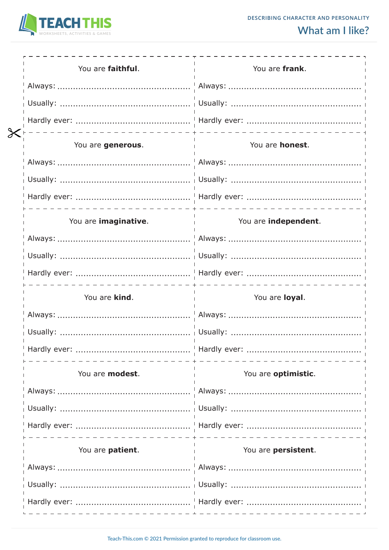

| You are faithful.    | You are frank.       |
|----------------------|----------------------|
|                      |                      |
|                      |                      |
|                      |                      |
| You are generous.    | You are honest.      |
|                      |                      |
|                      |                      |
|                      |                      |
| You are imaginative. | You are independent. |
|                      |                      |
|                      |                      |
|                      |                      |
|                      |                      |
| You are kind.        | You are loyal.       |
|                      |                      |
|                      |                      |
|                      |                      |
| You are modest.      | You are optimistic.  |
|                      |                      |
|                      |                      |
|                      |                      |
| You are patient.     | You are persistent.  |
|                      |                      |
|                      |                      |